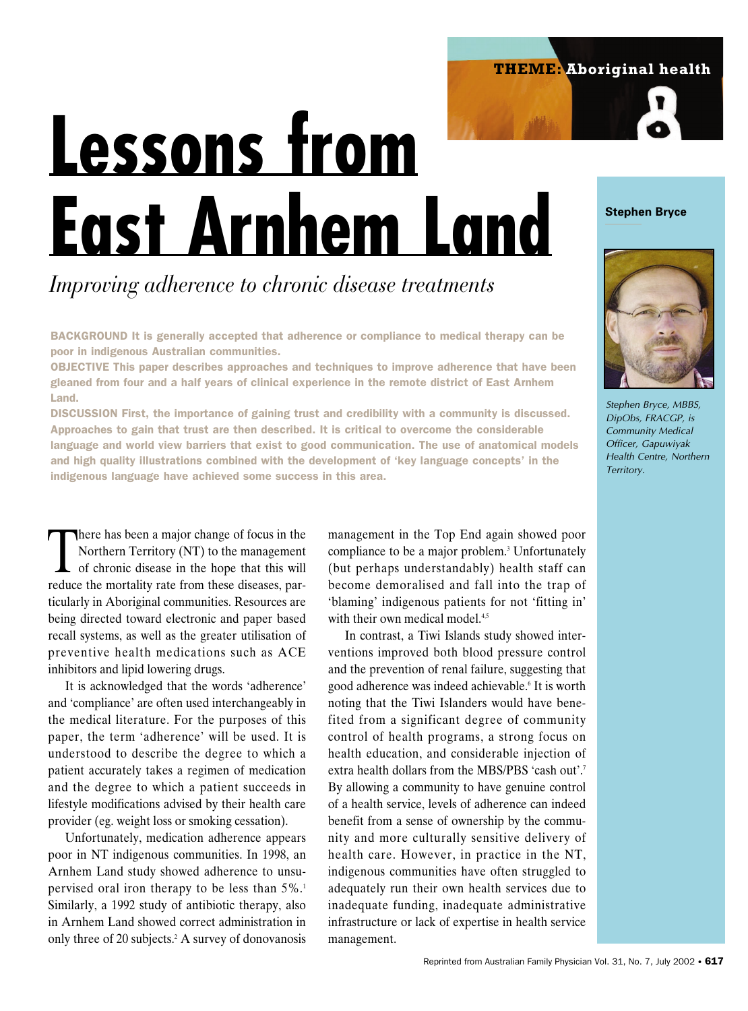# **THEME: Aboriginal health**

# **Lessons from East Arnhem Land**

# *Improving adherence to chronic disease treatments*

BACKGROUND It is generally accepted that adherence or compliance to medical therapy can be poor in indigenous Australian communities.

OBJECTIVE This paper describes approaches and techniques to improve adherence that have been gleaned from four and a half years of clinical experience in the remote district of East Arnhem Land.

DISCUSSION First, the importance of gaining trust and credibility with a community is discussed. Approaches to gain that trust are then described. It is critical to overcome the considerable language and world view barriers that exist to good communication. The use of anatomical models and high quality illustrations combined with the development of 'key language concepts' in the indigenous language have achieved some success in this area.

There has been a major change of focus in the<br>Northern Territory (NT) to the management<br>of chronic disease in the hope that this will Northern Territory (NT) to the management reduce the mortality rate from these diseases, particularly in Aboriginal communities. Resources are being directed toward electronic and paper based recall systems, as well as the greater utilisation of preventive health medications such as ACE inhibitors and lipid lowering drugs.

It is acknowledged that the words 'adherence' and 'compliance' are often used interchangeably in the medical literature. For the purposes of this paper, the term 'adherence' will be used. It is understood to describe the degree to which a patient accurately takes a regimen of medication and the degree to which a patient succeeds in lifestyle modifications advised by their health care provider (eg. weight loss or smoking cessation).

Unfortunately, medication adherence appears poor in NT indigenous communities. In 1998, an Arnhem Land study showed adherence to unsupervised oral iron therapy to be less than 5%.1 Similarly, a 1992 study of antibiotic therapy, also in Arnhem Land showed correct administration in only three of 20 subjects.2 A survey of donovanosis management in the Top End again showed poor compliance to be a major problem.<sup>3</sup> Unfortunately (but perhaps understandably) health staff can become demoralised and fall into the trap of 'blaming' indigenous patients for not 'fitting in' with their own medical model.<sup>4,5</sup>

In contrast, a Tiwi Islands study showed interventions improved both blood pressure control and the prevention of renal failure, suggesting that good adherence was indeed achievable.<sup>6</sup> It is worth noting that the Tiwi Islanders would have benefited from a significant degree of community control of health programs, a strong focus on health education, and considerable injection of extra health dollars from the MBS/PBS 'cash out'.<sup>7</sup> By allowing a community to have genuine control of a health service, levels of adherence can indeed benefit from a sense of ownership by the community and more culturally sensitive delivery of health care. However, in practice in the NT, indigenous communities have often struggled to adequately run their own health services due to inadequate funding, inadequate administrative infrastructure or lack of expertise in health service management.

#### **Stephen Bryce**



*Stephen Bryce, MBBS, DipObs, FRACGP, is Community Medical Officer, Gapuwiyak Health Centre, Northern Territory.*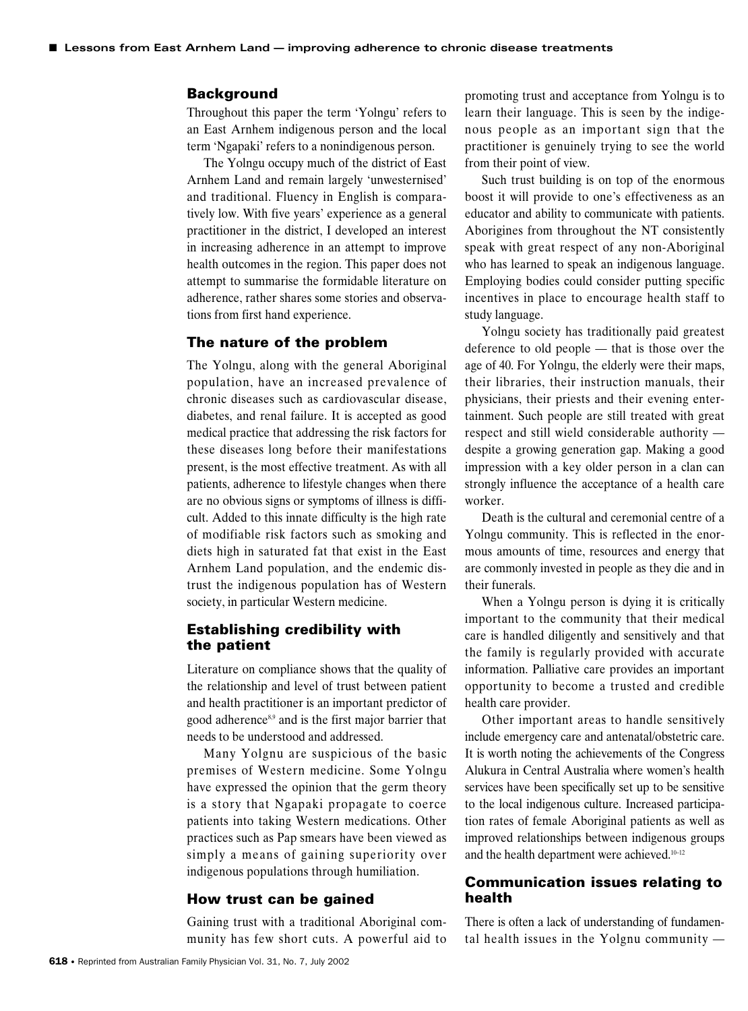#### **Background**

Throughout this paper the term 'Yolngu' refers to an East Arnhem indigenous person and the local term 'Ngapaki' refers to a nonindigenous person.

The Yolngu occupy much of the district of East Arnhem Land and remain largely 'unwesternised' and traditional. Fluency in English is comparatively low. With five years' experience as a general practitioner in the district, I developed an interest in increasing adherence in an attempt to improve health outcomes in the region. This paper does not attempt to summarise the formidable literature on adherence, rather shares some stories and observations from first hand experience.

### **The nature of the problem**

The Yolngu, along with the general Aboriginal population, have an increased prevalence of chronic diseases such as cardiovascular disease, diabetes, and renal failure. It is accepted as good medical practice that addressing the risk factors for these diseases long before their manifestations present, is the most effective treatment. As with all patients, adherence to lifestyle changes when there are no obvious signs or symptoms of illness is difficult. Added to this innate difficulty is the high rate of modifiable risk factors such as smoking and diets high in saturated fat that exist in the East Arnhem Land population, and the endemic distrust the indigenous population has of Western society, in particular Western medicine.

## **Establishing credibility with the patient**

Literature on compliance shows that the quality of the relationship and level of trust between patient and health practitioner is an important predictor of good adherence<sup>8,9</sup> and is the first major barrier that needs to be understood and addressed.

Many Yolgnu are suspicious of the basic premises of Western medicine. Some Yolngu have expressed the opinion that the germ theory is a story that Ngapaki propagate to coerce patients into taking Western medications. Other practices such as Pap smears have been viewed as simply a means of gaining superiority over indigenous populations through humiliation.

#### **How trust can be gained**

Gaining trust with a traditional Aboriginal community has few short cuts. A powerful aid to promoting trust and acceptance from Yolngu is to learn their language. This is seen by the indigenous people as an important sign that the practitioner is genuinely trying to see the world from their point of view.

Such trust building is on top of the enormous boost it will provide to one's effectiveness as an educator and ability to communicate with patients. Aborigines from throughout the NT consistently speak with great respect of any non-Aboriginal who has learned to speak an indigenous language. Employing bodies could consider putting specific incentives in place to encourage health staff to study language.

Yolngu society has traditionally paid greatest deference to old people — that is those over the age of 40. For Yolngu, the elderly were their maps, their libraries, their instruction manuals, their physicians, their priests and their evening entertainment. Such people are still treated with great respect and still wield considerable authority despite a growing generation gap. Making a good impression with a key older person in a clan can strongly influence the acceptance of a health care worker.

Death is the cultural and ceremonial centre of a Yolngu community. This is reflected in the enormous amounts of time, resources and energy that are commonly invested in people as they die and in their funerals.

When a Yolngu person is dying it is critically important to the community that their medical care is handled diligently and sensitively and that the family is regularly provided with accurate information. Palliative care provides an important opportunity to become a trusted and credible health care provider.

Other important areas to handle sensitively include emergency care and antenatal/obstetric care. It is worth noting the achievements of the Congress Alukura in Central Australia where women's health services have been specifically set up to be sensitive to the local indigenous culture. Increased participation rates of female Aboriginal patients as well as improved relationships between indigenous groups and the health department were achieved.10–12

#### **Communication issues relating to health**

There is often a lack of understanding of fundamental health issues in the Yolgnu community —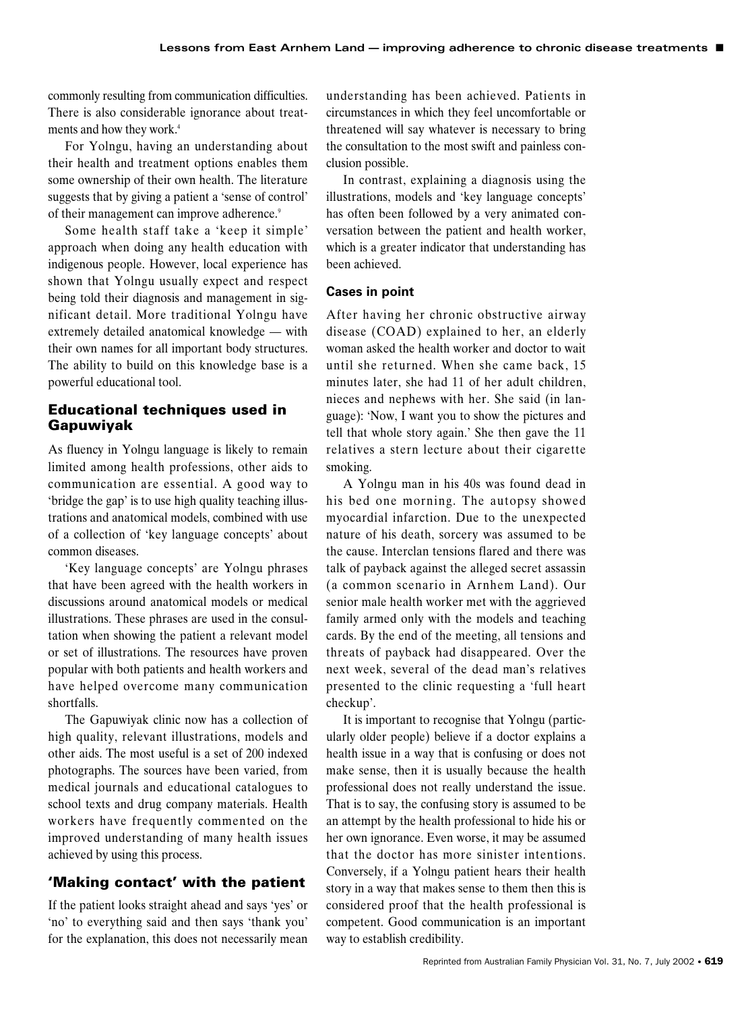commonly resulting from communication difficulties. There is also considerable ignorance about treatments and how they work.<sup>4</sup>

For Yolngu, having an understanding about their health and treatment options enables them some ownership of their own health. The literature suggests that by giving a patient a 'sense of control' of their management can improve adherence.<sup>9</sup>

Some health staff take a 'keep it simple' approach when doing any health education with indigenous people. However, local experience has shown that Yolngu usually expect and respect being told their diagnosis and management in significant detail. More traditional Yolngu have extremely detailed anatomical knowledge — with their own names for all important body structures. The ability to build on this knowledge base is a powerful educational tool.

# **Educational techniques used in Gapuwiyak**

As fluency in Yolngu language is likely to remain limited among health professions, other aids to communication are essential. A good way to 'bridge the gap' is to use high quality teaching illustrations and anatomical models, combined with use of a collection of 'key language concepts' about common diseases.

'Key language concepts' are Yolngu phrases that have been agreed with the health workers in discussions around anatomical models or medical illustrations. These phrases are used in the consultation when showing the patient a relevant model or set of illustrations. The resources have proven popular with both patients and health workers and have helped overcome many communication shortfalls.

The Gapuwiyak clinic now has a collection of high quality, relevant illustrations, models and other aids. The most useful is a set of 200 indexed photographs. The sources have been varied, from medical journals and educational catalogues to school texts and drug company materials. Health workers have frequently commented on the improved understanding of many health issues achieved by using this process.

### **'Making contact' with the patient**

If the patient looks straight ahead and says 'yes' or 'no' to everything said and then says 'thank you' for the explanation, this does not necessarily mean understanding has been achieved. Patients in circumstances in which they feel uncomfortable or threatened will say whatever is necessary to bring the consultation to the most swift and painless conclusion possible.

In contrast, explaining a diagnosis using the illustrations, models and 'key language concepts' has often been followed by a very animated conversation between the patient and health worker, which is a greater indicator that understanding has been achieved.

#### **Cases in point**

After having her chronic obstructive airway disease (COAD) explained to her, an elderly woman asked the health worker and doctor to wait until she returned. When she came back, 15 minutes later, she had 11 of her adult children, nieces and nephews with her. She said (in language): 'Now, I want you to show the pictures and tell that whole story again.' She then gave the 11 relatives a stern lecture about their cigarette smoking.

A Yolngu man in his 40s was found dead in his bed one morning. The autopsy showed myocardial infarction. Due to the unexpected nature of his death, sorcery was assumed to be the cause. Interclan tensions flared and there was talk of payback against the alleged secret assassin (a common scenario in Arnhem Land). Our senior male health worker met with the aggrieved family armed only with the models and teaching cards. By the end of the meeting, all tensions and threats of payback had disappeared. Over the next week, several of the dead man's relatives presented to the clinic requesting a 'full heart checkup'.

It is important to recognise that Yolngu (particularly older people) believe if a doctor explains a health issue in a way that is confusing or does not make sense, then it is usually because the health professional does not really understand the issue. That is to say, the confusing story is assumed to be an attempt by the health professional to hide his or her own ignorance. Even worse, it may be assumed that the doctor has more sinister intentions. Conversely, if a Yolngu patient hears their health story in a way that makes sense to them then this is considered proof that the health professional is competent. Good communication is an important way to establish credibility.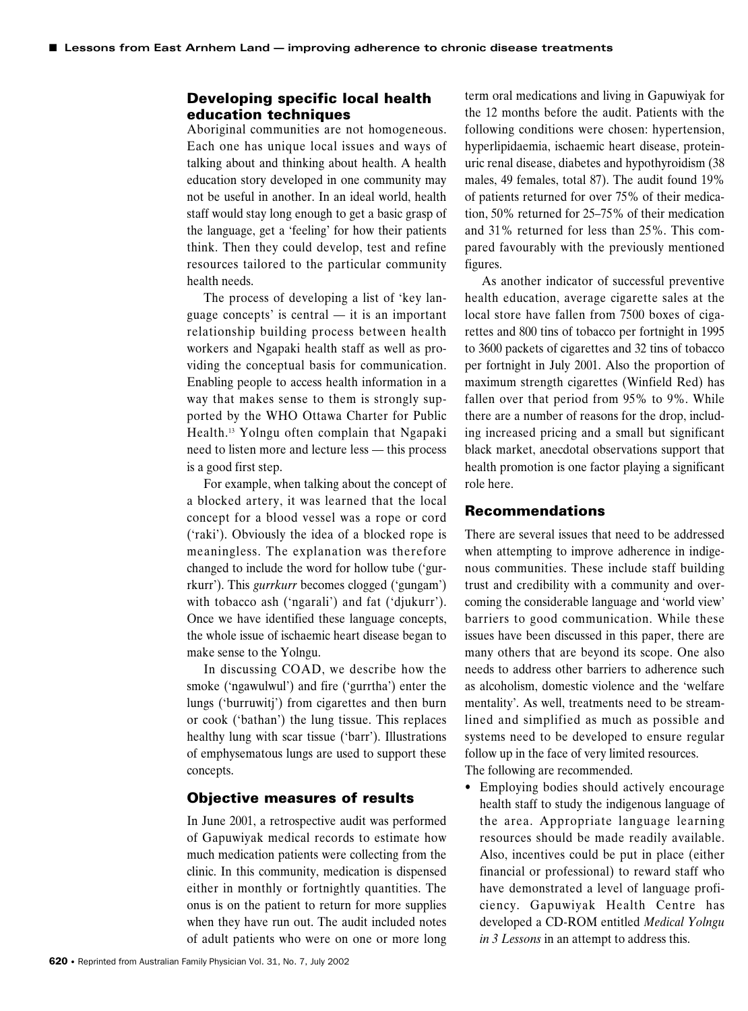#### **Developing specific local health education techniques**

Aboriginal communities are not homogeneous. Each one has unique local issues and ways of talking about and thinking about health. A health education story developed in one community may not be useful in another. In an ideal world, health staff would stay long enough to get a basic grasp of the language, get a 'feeling' for how their patients think. Then they could develop, test and refine resources tailored to the particular community health needs.

The process of developing a list of 'key language concepts' is central — it is an important relationship building process between health workers and Ngapaki health staff as well as providing the conceptual basis for communication. Enabling people to access health information in a way that makes sense to them is strongly supported by the WHO Ottawa Charter for Public Health.13 Yolngu often complain that Ngapaki need to listen more and lecture less — this process is a good first step.

For example, when talking about the concept of a blocked artery, it was learned that the local concept for a blood vessel was a rope or cord ('raki'). Obviously the idea of a blocked rope is meaningless. The explanation was therefore changed to include the word for hollow tube ('gurrkurr'). This *gurrkurr* becomes clogged ('gungam') with tobacco ash ('ngarali') and fat ('djukurr'). Once we have identified these language concepts, the whole issue of ischaemic heart disease began to make sense to the Yolngu.

In discussing COAD, we describe how the smoke ('ngawulwul') and fire ('gurrtha') enter the lungs ('burruwitj') from cigarettes and then burn or cook ('bathan') the lung tissue. This replaces healthy lung with scar tissue ('barr'). Illustrations of emphysematous lungs are used to support these concepts.

#### **Objective measures of results**

In June 2001, a retrospective audit was performed of Gapuwiyak medical records to estimate how much medication patients were collecting from the clinic. In this community, medication is dispensed either in monthly or fortnightly quantities. The onus is on the patient to return for more supplies when they have run out. The audit included notes of adult patients who were on one or more long term oral medications and living in Gapuwiyak for the 12 months before the audit. Patients with the following conditions were chosen: hypertension, hyperlipidaemia, ischaemic heart disease, proteinuric renal disease, diabetes and hypothyroidism (38 males, 49 females, total 87). The audit found 19% of patients returned for over 75% of their medication, 50% returned for 25–75% of their medication and 31% returned for less than 25%. This compared favourably with the previously mentioned figures.

As another indicator of successful preventive health education, average cigarette sales at the local store have fallen from 7500 boxes of cigarettes and 800 tins of tobacco per fortnight in 1995 to 3600 packets of cigarettes and 32 tins of tobacco per fortnight in July 2001. Also the proportion of maximum strength cigarettes (Winfield Red) has fallen over that period from 95% to 9%. While there are a number of reasons for the drop, including increased pricing and a small but significant black market, anecdotal observations support that health promotion is one factor playing a significant role here.

#### **Recommendations**

There are several issues that need to be addressed when attempting to improve adherence in indigenous communities. These include staff building trust and credibility with a community and overcoming the considerable language and 'world view' barriers to good communication. While these issues have been discussed in this paper, there are many others that are beyond its scope. One also needs to address other barriers to adherence such as alcoholism, domestic violence and the 'welfare mentality'. As well, treatments need to be streamlined and simplified as much as possible and systems need to be developed to ensure regular follow up in the face of very limited resources. The following are recommended.

• Employing bodies should actively encourage health staff to study the indigenous language of the area. Appropriate language learning resources should be made readily available. Also, incentives could be put in place (either financial or professional) to reward staff who have demonstrated a level of language proficiency. Gapuwiyak Health Centre has developed a CD-ROM entitled *Medical Yolngu in 3 Lessons* in an attempt to address this.